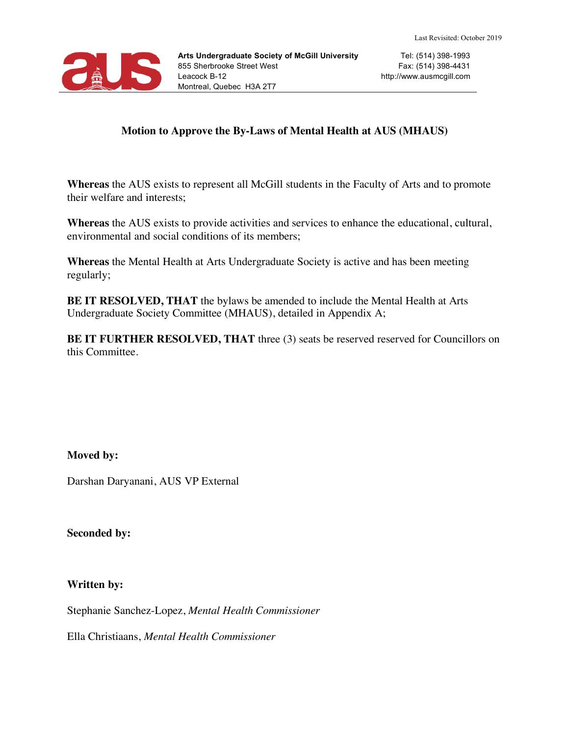

#### **Motion to Approve the By-Laws of Mental Health at AUS (MHAUS)**

**Whereas** the AUS exists to represent all McGill students in the Faculty of Arts and to promote their welfare and interests;

**Whereas** the AUS exists to provide activities and services to enhance the educational, cultural, environmental and social conditions of its members;

**Whereas** the Mental Health at Arts Undergraduate Society is active and has been meeting regularly;

**BE IT RESOLVED, THAT** the bylaws be amended to include the Mental Health at Arts Undergraduate Society Committee (MHAUS), detailed in Appendix A;

**BE IT FURTHER RESOLVED, THAT** three (3) seats be reserved reserved for Councillors on this Committee.

#### **Moved by:**

Darshan Daryanani, AUS VP External

**Seconded by:**

#### **Written by:**

Stephanie Sanchez-Lopez, *Mental Health Commissioner*

Ella Christiaans, *Mental Health Commissioner*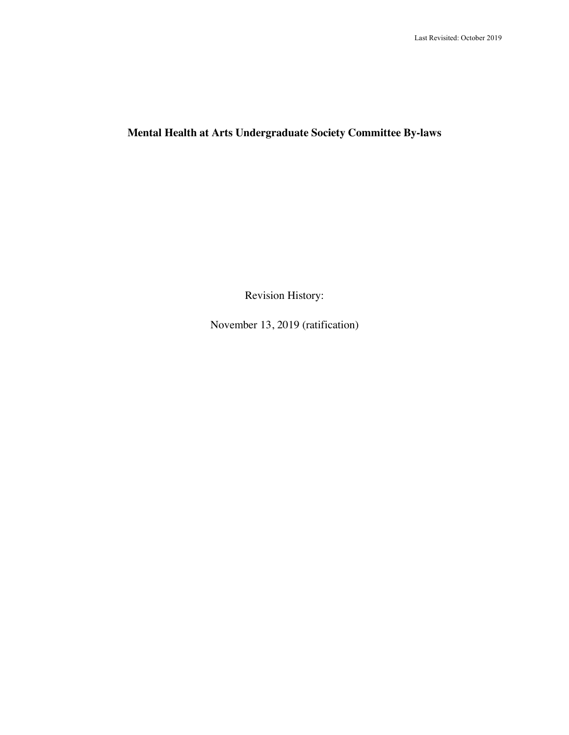# **Mental Health at Arts Undergraduate Society Committee By-laws**

Revision History:

November 13, 2019 (ratification)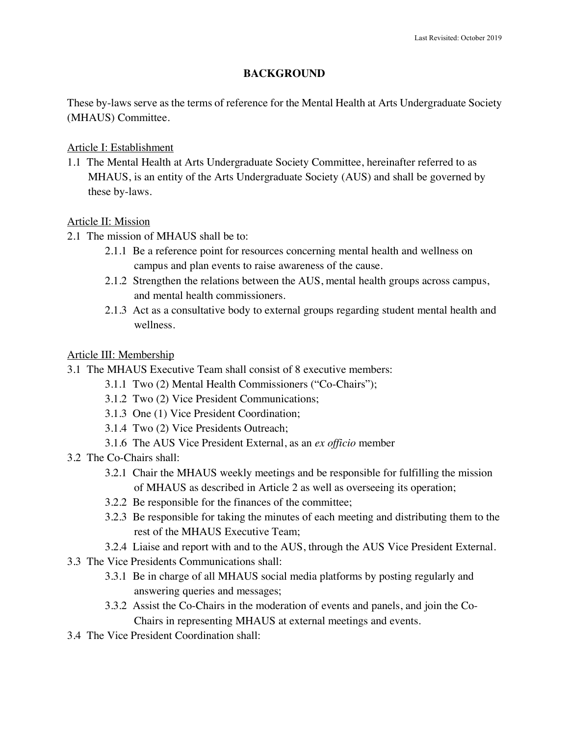#### **BACKGROUND**

These by-laws serve as the terms of reference for the Mental Health at Arts Undergraduate Society (MHAUS) Committee.

#### Article I: Establishment

1.1 The Mental Health at Arts Undergraduate Society Committee, hereinafter referred to as MHAUS, is an entity of the Arts Undergraduate Society (AUS) and shall be governed by these by-laws.

#### Article II: Mission

- 2.1 The mission of MHAUS shall be to:
	- 2.1.1 Be a reference point for resources concerning mental health and wellness on campus and plan events to raise awareness of the cause.
	- 2.1.2 Strengthen the relations between the AUS, mental health groups across campus, and mental health commissioners.
	- 2.1.3 Act as a consultative body to external groups regarding student mental health and wellness.

## Article III: Membership

- 3.1 The MHAUS Executive Team shall consist of 8 executive members:
	- 3.1.1 Two (2) Mental Health Commissioners ("Co-Chairs");
	- 3.1.2 Two (2) Vice President Communications;
	- 3.1.3 One (1) Vice President Coordination;
	- 3.1.4 Two (2) Vice Presidents Outreach;
	- 3.1.6 The AUS Vice President External, as an *ex officio* member
- 3.2 The Co-Chairs shall:
	- 3.2.1 Chair the MHAUS weekly meetings and be responsible for fulfilling the mission of MHAUS as described in Article 2 as well as overseeing its operation;
	- 3.2.2 Be responsible for the finances of the committee;
	- 3.2.3 Be responsible for taking the minutes of each meeting and distributing them to the rest of the MHAUS Executive Team;
	- 3.2.4 Liaise and report with and to the AUS, through the AUS Vice President External.
- 3.3 The Vice Presidents Communications shall:
	- 3.3.1 Be in charge of all MHAUS social media platforms by posting regularly and answering queries and messages;
	- 3.3.2 Assist the Co-Chairs in the moderation of events and panels, and join the Co-Chairs in representing MHAUS at external meetings and events.
- 3.4 The Vice President Coordination shall: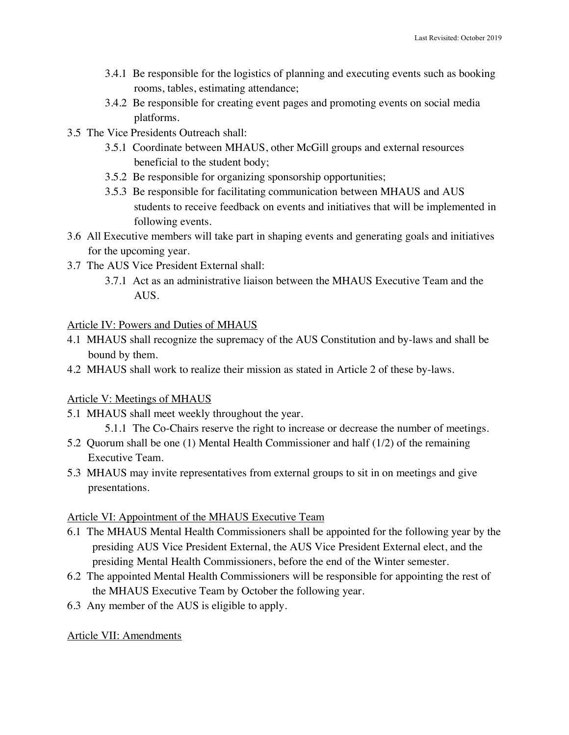- 3.4.1 Be responsible for the logistics of planning and executing events such as booking rooms, tables, estimating attendance;
- 3.4.2 Be responsible for creating event pages and promoting events on social media platforms.
- 3.5 The Vice Presidents Outreach shall:
	- 3.5.1 Coordinate between MHAUS, other McGill groups and external resources beneficial to the student body;
	- 3.5.2 Be responsible for organizing sponsorship opportunities;
	- 3.5.3 Be responsible for facilitating communication between MHAUS and AUS students to receive feedback on events and initiatives that will be implemented in following events.
- 3.6 All Executive members will take part in shaping events and generating goals and initiatives for the upcoming year.
- 3.7 The AUS Vice President External shall:
	- 3.7.1 Act as an administrative liaison between the MHAUS Executive Team and the AUS.

## Article IV: Powers and Duties of MHAUS

- 4.1 MHAUS shall recognize the supremacy of the AUS Constitution and by-laws and shall be bound by them.
- 4.2 MHAUS shall work to realize their mission as stated in Article 2 of these by-laws.

# Article V: Meetings of MHAUS

- 5.1 MHAUS shall meet weekly throughout the year.
	- 5.1.1 The Co-Chairs reserve the right to increase or decrease the number of meetings.
- 5.2 Quorum shall be one (1) Mental Health Commissioner and half (1/2) of the remaining Executive Team.
- 5.3 MHAUS may invite representatives from external groups to sit in on meetings and give presentations.

# Article VI: Appointment of the MHAUS Executive Team

- 6.1 The MHAUS Mental Health Commissioners shall be appointed for the following year by the presiding AUS Vice President External, the AUS Vice President External elect, and the presiding Mental Health Commissioners, before the end of the Winter semester.
- 6.2 The appointed Mental Health Commissioners will be responsible for appointing the rest of the MHAUS Executive Team by October the following year.
- 6.3 Any member of the AUS is eligible to apply.

# Article VII: Amendments